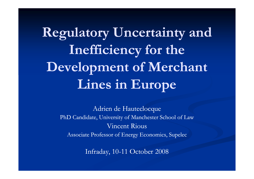**Regulatory Uncertainty and** Inefficiency for the **Development of Merchant Lines in Europe**

> Adrien de HauteclocquePhD Candidate, University of Manchester School of LawVincent RiousAssociate Professor of Energy Economics, Supelec

> > Infraday, 10-11 October 2008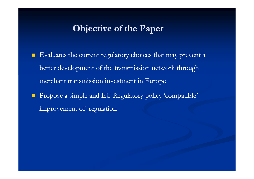#### **Objective of the Paper**

- $\blacksquare$  Evaluates the current regulatory choices that may prevent a better development of the transmission network through merchant transmission investment in Europe
- $\mathcal{L}_{\mathcal{A}}$  Propose a simple and EU Regulatory policy 'compatible' improvement of regulation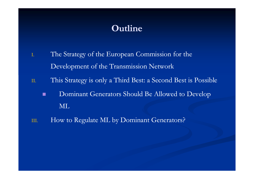#### **Outline**

- I. The Strategy of the European Commission for the Development of the Transmission Network
- II. This Strategy is only a Third Best: a Second Best is Possible
	- п Dominant Generators Should Be Allowed to Develop ML
- III.How to Regulate ML by Dominant Generators?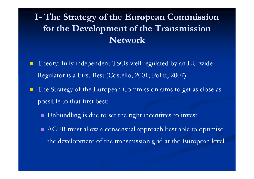#### **I- The Strategy of the European Commission for the Development of the Transmission Network**

- $\blacksquare$ ■ Theory: fully independent TSOs well regulated by an EU-wide Regulator is a First Best (Costello, 2001; Politt, 2007)
- **The Strategy of the European Commission aims to get as close as** possible to that first best:
	- **IDED Unbundling is due to set the right incentives to invest**
	- ACER must allow a consensual approach best able to optimise the development of the transmission grid at the European level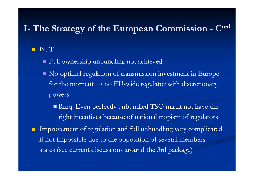# **I- The Strategy of the European Commission - <sup>C</sup>ted**

#### п BUT

- Full ownership unbundling not achieved
- No optimal regulation of transmission investment in Europe for the moment  $\rightarrow$  no EU-wide regulator with discretionary powers
	- Rmq: Even perfectly unbundled TSO might not have the right incentives because of national tropism of regulators
- Improvement of regulation and full unbundling very complicated if not impossible due to the opposition of several members states (see current discussions around the 3rd package)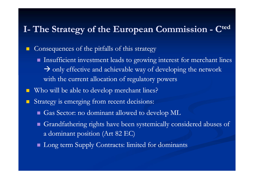# **I- The Strategy of the European Commission - <sup>C</sup>ted**

- $\mathcal{L}_{\mathcal{A}}$  Consequences of the pitfalls of this strategy
	- Insufficient investment leads to growing interest for merchant lines > only effective and achievable way of developing the network with the current allocation of regulatory powers
- Who will be able to develop merchant lines?
- Strategy is emerging from recent decisions:
	- Gas Sector: no dominant allowed to develop ML
	- Grandfathering rights have been systemically considered abuses of a dominant position (Art 82 EC)
	- Long term Supply Contracts: limited for dominants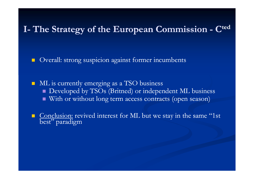# **I- The Strategy of the European Commission - <sup>C</sup>ted**

 $\blacksquare$ Overall: strong suspicion against former incumbents

ML is currently emerging as a TSO business Developed by TSOs (Britned) or independent ML business With or without long term access contracts (open season)

Conclusion: revived interest for ML but we stay in the same "1st best" paradigm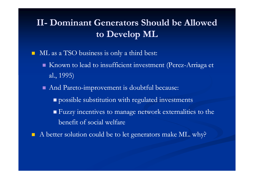#### **II-** Dominant Generators Should be Allowed **to Develop ML**

 $\blacksquare$ ML as a TSO business is only a third best:

- Known to lead to insufficient investment (Perez-Arriaga et al., 1995)
- And Pareto-improvement is doubtful because:
	- **p** possible substitution with regulated investments
	- Fuzzy incentives to manage network externalities to the benefit of social welfare
- A better solution could be to let generators make ML. why?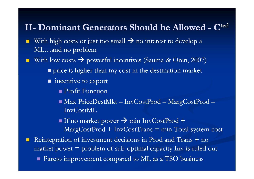# **II- Dominant Generators Should be Allowed - <sup>C</sup>ted**

- $\mathcal{L}_{\mathcal{A}}$ With high costs or just too small  $\rightarrow$  no interest to develop a<br>MI and no problem ML…and no problem
- With low costs  $\rightarrow$  powerful incentives (Sauma & Oren, 2007) **p**rice is higher than my cost in the destination market
	- incentive to export
		- Profit Function
		- Max PriceDestMkt InvCostProd MargCostProd InvCostML
		- If no market power  $\rightarrow$  min InvCostProd +  $MargCostProd + InvCostTrans = min Total system cost$
- $\blacksquare$  Reintegration of investment decisions in Prod and Trans + no market power  $=$  problem of sub-optimal capacity Inv is ruled out Pareto improvement compared to ML as a TSO business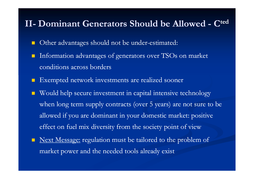# **II- Dominant Generators Should be Allowed - <sup>C</sup>ted**

- $\blacksquare$ Other advantages should not be under-estimated:
- Information advantages of generators over TSOs on market conditions across borders
- **Exempted network investments are realized sooner**
- Would help secure investment in capital intensive technology when long term supply contracts (over 5 years) are not sure to be allowed if you are dominant in your domestic market: positive effect on fuel mix diversity from the society point of view
- $\blacksquare$ Next Message: regulation must be tailored to the problem of market power and the needed tools already exist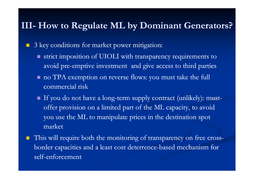#### **III- How to Regulate ML by Dominant Generators?**

 $\mathcal{L}_{\mathcal{A}}$ 3 key conditions for market power mitigation:

- strict imposition of UIOLI with transparency requirements to avoid pre-emptive investment and give access to third parties
- no TPA exemption on reverse flows: you must take the full commercial risk
- $\blacksquare$  If you do not have a long-term supply contract (unlikely): mustoffer provision on a limited part of the ML capacity, to avoid you use the ML to manipulate prices in the destination spot market
- $\blacksquare$ This will require both the monitoring of transparency on free crossborder capacities and a least cost deterrence-based mechanism for self-enforcement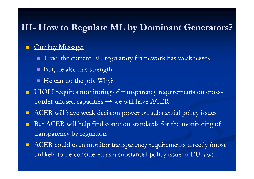# **III- How to Regulate ML by Dominant Generators?**

#### $\mathcal{L}_{\mathcal{A}}$ Our key Message:

- True, the current EU regulatory framework has weaknesses
- But, he also has strength
- He can do the job. Why?
- П UIOLI requires monitoring of transparency requirements on cross border unused capacities → we will have ACER
- $\blacksquare$ ACER will have weak decision power on substantial policy issues
- $\mathbb{R}^2$  But ACER will help find common standards for the monitoring of transparency by regulators
- $\blacksquare$  ACER could even monitor transparency requirements directly (most unlikely to be considered as a substantial policy issue in EU law)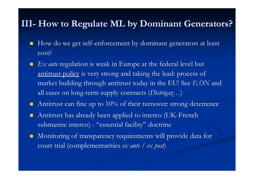### **III- How to Regulate ML by Dominant Generators?**

- $\blacksquare$  How do we get self-enforcement by dominant generators at least cost?
- $\blacksquare$  *Ex ante* regulation is weak in Europe at the federal level but antitrust policy is very strong and taking the lead: process of market building through antitrust today in the EU! See *E.ON* and all cases on long-term supply contracts (*Distrigaz*…)
- $\blacksquare$ Antitrust can fine up to  $10\%$  of their turnover: strong deterrence
- $\blacksquare$  Antitrust has already been applied to interco (UK-French submarine interco) - "essential facility" doctrine
- $\blacksquare$  Monitoring of transparency requirements will provide data for court trial (complementarities *ex ante* / *ex post*)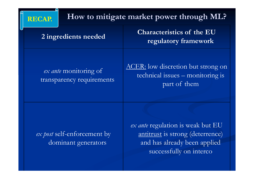|  | <b>RECAP.</b>                                                              | How to mitigate market power through ML? |                                                                                                                                  |
|--|----------------------------------------------------------------------------|------------------------------------------|----------------------------------------------------------------------------------------------------------------------------------|
|  | 2 ingredients needed<br>ex ante monitoring of<br>transparency requirements |                                          | <b>Characteristics of the EU</b><br>regulatory framework                                                                         |
|  |                                                                            |                                          | ACER: low discretion but strong on<br>technical issues - monitoring is<br>part of them                                           |
|  | ex post self-enforcement by<br>dominant generators                         |                                          | ex ante regulation is weak but EU<br>antitrust is strong (deterrence)<br>and has already been applied<br>successfully on interco |